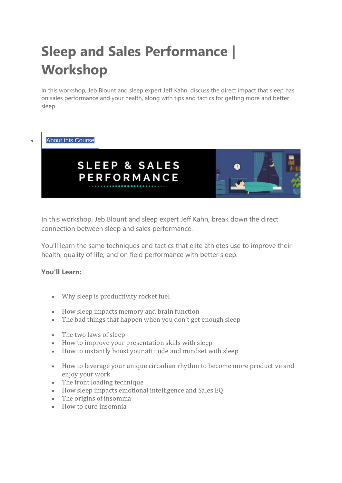# **Sleep and Sales Performance | Workshop**

In this workshop, Jeb Blount and sleep expert Jeff Kahn, discuss the direct impact that sleep has on sales performance and your health, along with tips and tactics for getting more and better sleep.



## **About this [Course](https://www.salesgravy.university/courses/sleep-and-sales-performance-workshop)**



In this workshop, Jeb Blount and sleep expert Jeff Kahn, break down the direct connection between sleep and sales performance.

You'll learn the same techniques and tactics that elite athletes use to improve their health, quality of life, and on field performance with better sleep.

#### **You'll Learn:**

- Why sleep is productivity rocket fuel
- How sleep impacts memory and brain function
- The bad things that happen when you don't get enough sleep
- The two laws of sleep
- How to improve your presentation skills with sleep
- How to instantly boost your attitude and mindset with sleep
- How to leverage your unique circadian rhythm to become more productive and enjoy your work
- The front loading technique
- How sleep impacts emotional intelligence and Sales EQ
- The origins of insomnia
- How to cure insomnia